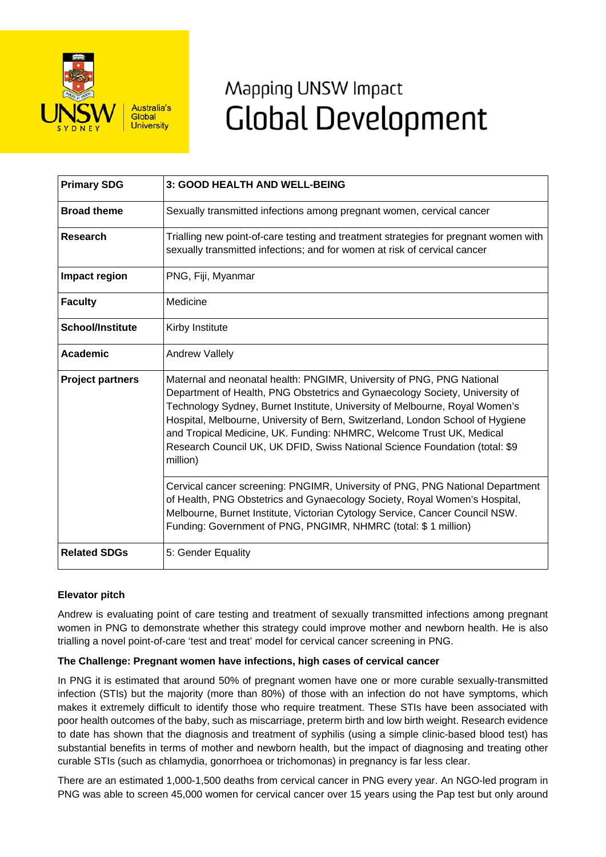

# Mapping UNSW Impact **Global Development**

| <b>Primary SDG</b>      | 3: GOOD HEALTH AND WELL-BEING                                                                                                                                                                                                                                                                                                                                                                                                                                                            |
|-------------------------|------------------------------------------------------------------------------------------------------------------------------------------------------------------------------------------------------------------------------------------------------------------------------------------------------------------------------------------------------------------------------------------------------------------------------------------------------------------------------------------|
| <b>Broad theme</b>      | Sexually transmitted infections among pregnant women, cervical cancer                                                                                                                                                                                                                                                                                                                                                                                                                    |
| Research                | Trialling new point-of-care testing and treatment strategies for pregnant women with<br>sexually transmitted infections; and for women at risk of cervical cancer                                                                                                                                                                                                                                                                                                                        |
| Impact region           | PNG, Fiji, Myanmar                                                                                                                                                                                                                                                                                                                                                                                                                                                                       |
| <b>Faculty</b>          | Medicine                                                                                                                                                                                                                                                                                                                                                                                                                                                                                 |
| <b>School/Institute</b> | Kirby Institute                                                                                                                                                                                                                                                                                                                                                                                                                                                                          |
| <b>Academic</b>         | Andrew Vallely                                                                                                                                                                                                                                                                                                                                                                                                                                                                           |
| <b>Project partners</b> | Maternal and neonatal health: PNGIMR, University of PNG, PNG National<br>Department of Health, PNG Obstetrics and Gynaecology Society, University of<br>Technology Sydney, Burnet Institute, University of Melbourne, Royal Women's<br>Hospital, Melbourne, University of Bern, Switzerland, London School of Hygiene<br>and Tropical Medicine, UK. Funding: NHMRC, Welcome Trust UK, Medical<br>Research Council UK, UK DFID, Swiss National Science Foundation (total: \$9<br>million) |
|                         | Cervical cancer screening: PNGIMR, University of PNG, PNG National Department<br>of Health, PNG Obstetrics and Gynaecology Society, Royal Women's Hospital,<br>Melbourne, Burnet Institute, Victorian Cytology Service, Cancer Council NSW.<br>Funding: Government of PNG, PNGIMR, NHMRC (total: \$ 1 million)                                                                                                                                                                           |
| <b>Related SDGs</b>     | 5: Gender Equality                                                                                                                                                                                                                                                                                                                                                                                                                                                                       |

# **Elevator pitch**

Andrew is evaluating point of care testing and treatment of sexually transmitted infections among pregnant women in PNG to demonstrate whether this strategy could improve mother and newborn health. He is also trialling a novel point-of-care 'test and treat' model for cervical cancer screening in PNG.

# **The Challenge: Pregnant women have infections, high cases of cervical cancer**

In PNG it is estimated that around 50% of pregnant women have one or more curable sexually-transmitted infection (STIs) but the majority (more than 80%) of those with an infection do not have symptoms, which makes it extremely difficult to identify those who require treatment. These STIs have been associated with poor health outcomes of the baby, such as miscarriage, preterm birth and low birth weight. Research evidence to date has shown that the diagnosis and treatment of syphilis (using a simple clinic-based blood test) has substantial benefits in terms of mother and newborn health, but the impact of diagnosing and treating other curable STIs (such as chlamydia, gonorrhoea or trichomonas) in pregnancy is far less clear.

There are an estimated 1,000-1,500 deaths from cervical cancer in PNG every year. An NGO-led program in PNG was able to screen 45,000 women for cervical cancer over 15 years using the Pap test but only around